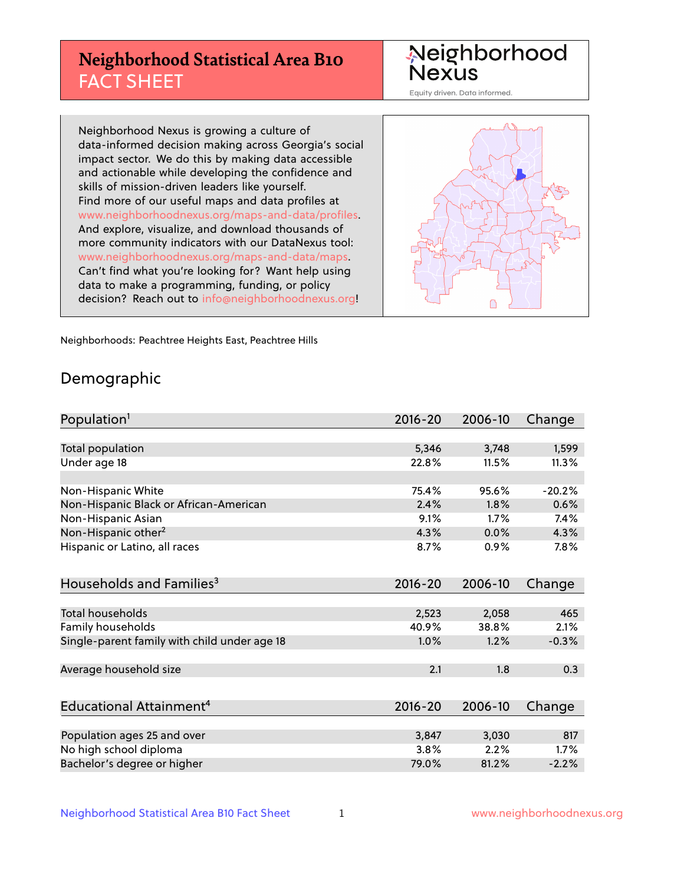## **Neighborhood Statistical Area B10** FACT SHEET

Neighborhood Nexus

Equity driven. Data informed.

Neighborhood Nexus is growing a culture of data-informed decision making across Georgia's social impact sector. We do this by making data accessible and actionable while developing the confidence and skills of mission-driven leaders like yourself. Find more of our useful maps and data profiles at www.neighborhoodnexus.org/maps-and-data/profiles. And explore, visualize, and download thousands of more community indicators with our DataNexus tool: www.neighborhoodnexus.org/maps-and-data/maps. Can't find what you're looking for? Want help using data to make a programming, funding, or policy decision? Reach out to [info@neighborhoodnexus.org!](mailto:info@neighborhoodnexus.org)



Neighborhoods: Peachtree Heights East, Peachtree Hills

### Demographic

| Population <sup>1</sup>                      | 2016-20     | 2006-10 | Change   |
|----------------------------------------------|-------------|---------|----------|
|                                              |             |         |          |
| Total population                             | 5,346       | 3,748   | 1,599    |
| Under age 18                                 | 22.8%       | 11.5%   | 11.3%    |
|                                              |             |         |          |
| Non-Hispanic White                           | 75.4%       | 95.6%   | $-20.2%$ |
| Non-Hispanic Black or African-American       | 2.4%        | 1.8%    | 0.6%     |
| Non-Hispanic Asian                           | 9.1%        | 1.7%    | 7.4%     |
| Non-Hispanic other <sup>2</sup>              | 4.3%        | 0.0%    | 4.3%     |
| Hispanic or Latino, all races                | 8.7%        | 0.9%    | 7.8%     |
|                                              |             |         |          |
| Households and Families <sup>3</sup>         | $2016 - 20$ | 2006-10 | Change   |
|                                              |             |         |          |
| <b>Total households</b>                      | 2,523       | 2,058   | 465      |
| Family households                            | 40.9%       | 38.8%   | 2.1%     |
| Single-parent family with child under age 18 | 1.0%        | 1.2%    | $-0.3%$  |
|                                              |             |         |          |
| Average household size                       | 2.1         | 1.8     | 0.3      |
|                                              |             |         |          |
| Educational Attainment <sup>4</sup>          | $2016 - 20$ | 2006-10 | Change   |
|                                              |             |         |          |
| Population ages 25 and over                  | 3,847       | 3,030   | 817      |
| No high school diploma                       | 3.8%        | 2.2%    | 1.7%     |
| Bachelor's degree or higher                  | 79.0%       | 81.2%   | $-2.2%$  |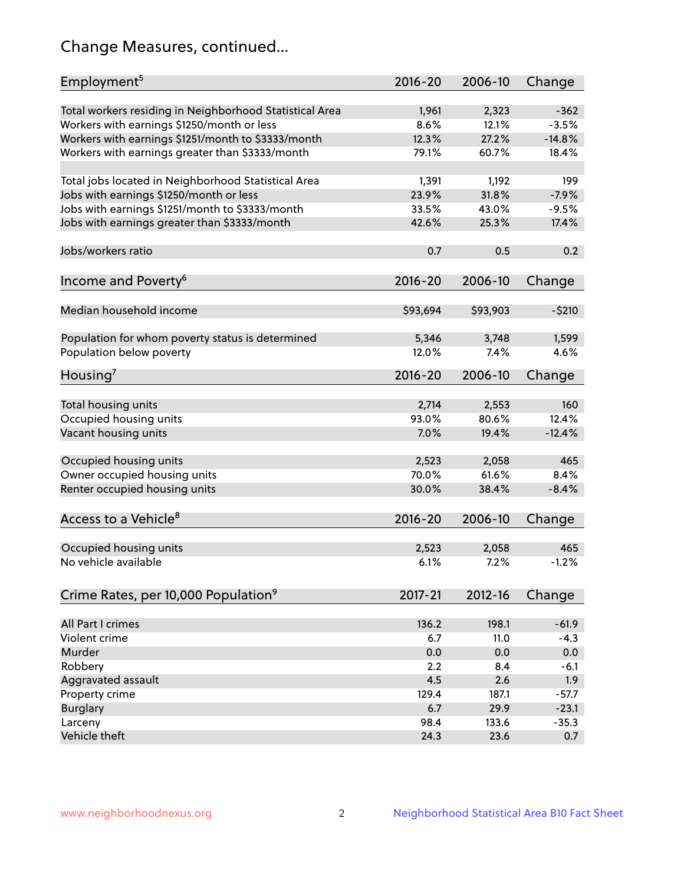## Change Measures, continued...

| Employment <sup>5</sup>                                 | $2016 - 20$   | 2006-10        | Change            |
|---------------------------------------------------------|---------------|----------------|-------------------|
|                                                         |               |                |                   |
| Total workers residing in Neighborhood Statistical Area | 1,961<br>8.6% | 2,323<br>12.1% | $-362$<br>$-3.5%$ |
| Workers with earnings \$1250/month or less              | 12.3%         | 27.2%          | $-14.8%$          |
| Workers with earnings \$1251/month to \$3333/month      | 79.1%         | 60.7%          | 18.4%             |
| Workers with earnings greater than \$3333/month         |               |                |                   |
| Total jobs located in Neighborhood Statistical Area     | 1,391         | 1,192          | 199               |
| Jobs with earnings \$1250/month or less                 | 23.9%         | 31.8%          | $-7.9%$           |
| Jobs with earnings \$1251/month to \$3333/month         | 33.5%         | 43.0%          | $-9.5%$           |
| Jobs with earnings greater than \$3333/month            | 42.6%         | 25.3%          | 17.4%             |
|                                                         |               |                |                   |
| Jobs/workers ratio                                      | 0.7           | 0.5            | 0.2               |
|                                                         |               |                |                   |
| Income and Poverty <sup>6</sup>                         | 2016-20       | 2006-10        | Change            |
|                                                         |               |                |                   |
| Median household income                                 | \$93,694      | \$93,903       | $-5210$           |
|                                                         |               |                |                   |
| Population for whom poverty status is determined        | 5,346         | 3,748          | 1,599             |
| Population below poverty                                | 12.0%         | 7.4%           | 4.6%              |
|                                                         |               |                |                   |
| Housing <sup>7</sup>                                    | 2016-20       | 2006-10        | Change            |
|                                                         |               |                |                   |
| Total housing units                                     | 2,714         | 2,553          | 160               |
| Occupied housing units                                  | 93.0%         | 80.6%          | 12.4%             |
| Vacant housing units                                    | 7.0%          | 19.4%          | $-12.4%$          |
|                                                         |               |                |                   |
| Occupied housing units                                  | 2,523         | 2,058          | 465               |
| Owner occupied housing units                            | 70.0%         | 61.6%          | 8.4%              |
| Renter occupied housing units                           | 30.0%         | 38.4%          | $-8.4%$           |
|                                                         |               |                |                   |
| Access to a Vehicle <sup>8</sup>                        | $2016 - 20$   | 2006-10        | Change            |
|                                                         |               |                |                   |
| Occupied housing units                                  | 2,523         | 2,058          | 465               |
| No vehicle available                                    | 6.1%          | 7.2%           | $-1.2%$           |
|                                                         |               |                |                   |
| Crime Rates, per 10,000 Population <sup>9</sup>         | 2017-21       | 2012-16        | Change            |
|                                                         |               |                |                   |
| All Part I crimes                                       | 136.2         | 198.1          | $-61.9$           |
| Violent crime                                           | 6.7           | 11.0           | $-4.3$            |
| Murder                                                  | 0.0           | 0.0            | 0.0               |
| Robbery                                                 | 2.2           | 8.4            | $-6.1$            |
| Aggravated assault                                      | 4.5           | 2.6            | 1.9               |
| Property crime                                          | 129.4         | 187.1          | $-57.7$           |
| <b>Burglary</b>                                         | 6.7           | 29.9           | $-23.1$           |
| Larceny                                                 | 98.4          | 133.6          | $-35.3$           |
| Vehicle theft                                           | 24.3          | 23.6           | 0.7               |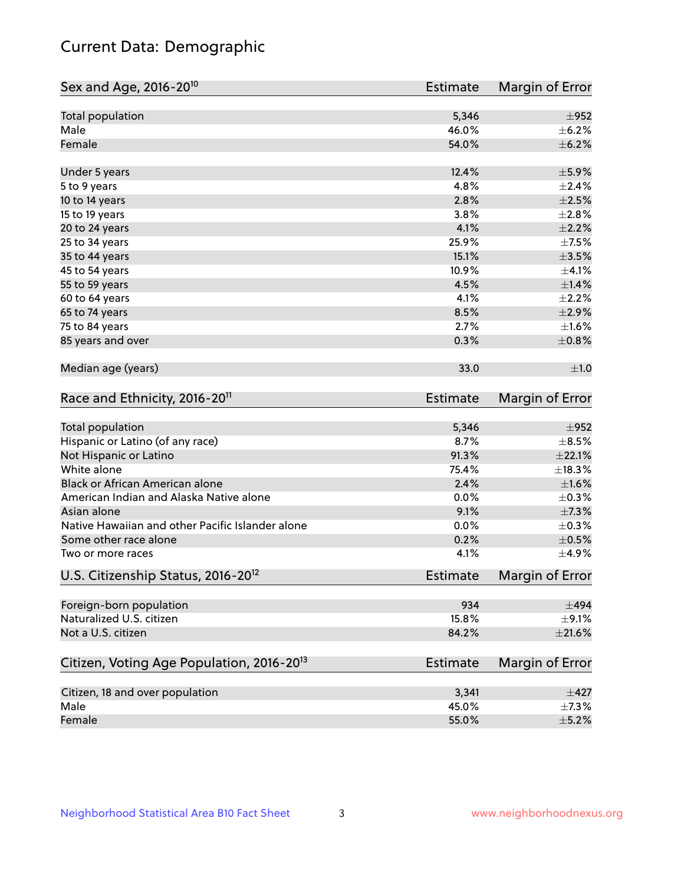## Current Data: Demographic

| Total population<br>5,346<br>$\pm$ 952<br>46.0%<br>Male<br>$\pm$ 6.2%<br>54.0%<br>Female<br>12.4%<br>$\pm$ 5.9%<br>Under 5 years<br>4.8%<br>5 to 9 years<br>2.8%<br>10 to 14 years<br>3.8%<br>15 to 19 years<br>20 to 24 years<br>4.1%<br>25.9%<br>25 to 34 years<br>15.1%<br>35 to 44 years<br>10.9%<br>45 to 54 years<br>4.5%<br>55 to 59 years<br>4.1%<br>60 to 64 years<br>8.5%<br>$\pm 2.9\%$<br>65 to 74 years<br>2.7%<br>75 to 84 years<br>85 years and over<br>0.3%<br>Median age (years)<br>33.0<br>Race and Ethnicity, 2016-20 <sup>11</sup><br>Estimate<br><b>Total population</b><br>5,346<br>$\pm$ 952<br>Hispanic or Latino (of any race)<br>8.7%<br>$\pm$ 8.5%<br>$\pm 22.1\%$<br>Not Hispanic or Latino<br>91.3%<br>White alone<br>±18.3%<br>75.4%<br>Black or African American alone<br>2.4%<br>$\pm1.6\%$<br>American Indian and Alaska Native alone<br>0.0%<br>$\pm$ 0.3%<br>Asian alone<br>$\pm$ 7.3%<br>9.1%<br>Native Hawaiian and other Pacific Islander alone<br>0.0%<br>$\pm$ 0.3%<br>$\pm$ 0.5%<br>Some other race alone<br>0.2%<br>4.1%<br>Two or more races<br>U.S. Citizenship Status, 2016-20 <sup>12</sup><br><b>Estimate</b><br>Foreign-born population<br>934<br>$\pm$ 494<br>Naturalized U.S. citizen<br>15.8%<br>$\pm$ 9.1%<br>Not a U.S. citizen<br>84.2%<br>Citizen, Voting Age Population, 2016-20 <sup>13</sup><br><b>Estimate</b><br>Citizen, 18 and over population<br>3,341<br>$\pm$ 427<br>Male<br>45.0%<br>$\pm$ 7.3% | Sex and Age, 2016-20 <sup>10</sup> | <b>Estimate</b> | Margin of Error |
|-------------------------------------------------------------------------------------------------------------------------------------------------------------------------------------------------------------------------------------------------------------------------------------------------------------------------------------------------------------------------------------------------------------------------------------------------------------------------------------------------------------------------------------------------------------------------------------------------------------------------------------------------------------------------------------------------------------------------------------------------------------------------------------------------------------------------------------------------------------------------------------------------------------------------------------------------------------------------------------------------------------------------------------------------------------------------------------------------------------------------------------------------------------------------------------------------------------------------------------------------------------------------------------------------------------------------------------------------------------------------------------------------------------------------------------------------------------------|------------------------------------|-----------------|-----------------|
|                                                                                                                                                                                                                                                                                                                                                                                                                                                                                                                                                                                                                                                                                                                                                                                                                                                                                                                                                                                                                                                                                                                                                                                                                                                                                                                                                                                                                                                                   |                                    |                 |                 |
|                                                                                                                                                                                                                                                                                                                                                                                                                                                                                                                                                                                                                                                                                                                                                                                                                                                                                                                                                                                                                                                                                                                                                                                                                                                                                                                                                                                                                                                                   |                                    |                 |                 |
|                                                                                                                                                                                                                                                                                                                                                                                                                                                                                                                                                                                                                                                                                                                                                                                                                                                                                                                                                                                                                                                                                                                                                                                                                                                                                                                                                                                                                                                                   |                                    |                 | $\pm$ 6.2%      |
|                                                                                                                                                                                                                                                                                                                                                                                                                                                                                                                                                                                                                                                                                                                                                                                                                                                                                                                                                                                                                                                                                                                                                                                                                                                                                                                                                                                                                                                                   |                                    |                 |                 |
|                                                                                                                                                                                                                                                                                                                                                                                                                                                                                                                                                                                                                                                                                                                                                                                                                                                                                                                                                                                                                                                                                                                                                                                                                                                                                                                                                                                                                                                                   |                                    |                 | $\pm 2.4\%$     |
|                                                                                                                                                                                                                                                                                                                                                                                                                                                                                                                                                                                                                                                                                                                                                                                                                                                                                                                                                                                                                                                                                                                                                                                                                                                                                                                                                                                                                                                                   |                                    |                 | $\pm 2.5\%$     |
|                                                                                                                                                                                                                                                                                                                                                                                                                                                                                                                                                                                                                                                                                                                                                                                                                                                                                                                                                                                                                                                                                                                                                                                                                                                                                                                                                                                                                                                                   |                                    |                 | $\pm 2.8\%$     |
|                                                                                                                                                                                                                                                                                                                                                                                                                                                                                                                                                                                                                                                                                                                                                                                                                                                                                                                                                                                                                                                                                                                                                                                                                                                                                                                                                                                                                                                                   |                                    |                 | $\pm 2.2\%$     |
|                                                                                                                                                                                                                                                                                                                                                                                                                                                                                                                                                                                                                                                                                                                                                                                                                                                                                                                                                                                                                                                                                                                                                                                                                                                                                                                                                                                                                                                                   |                                    |                 | $\pm$ 7.5%      |
|                                                                                                                                                                                                                                                                                                                                                                                                                                                                                                                                                                                                                                                                                                                                                                                                                                                                                                                                                                                                                                                                                                                                                                                                                                                                                                                                                                                                                                                                   |                                    |                 | $\pm 3.5\%$     |
|                                                                                                                                                                                                                                                                                                                                                                                                                                                                                                                                                                                                                                                                                                                                                                                                                                                                                                                                                                                                                                                                                                                                                                                                                                                                                                                                                                                                                                                                   |                                    |                 | $\pm 4.1\%$     |
|                                                                                                                                                                                                                                                                                                                                                                                                                                                                                                                                                                                                                                                                                                                                                                                                                                                                                                                                                                                                                                                                                                                                                                                                                                                                                                                                                                                                                                                                   |                                    |                 | $\pm 1.4\%$     |
|                                                                                                                                                                                                                                                                                                                                                                                                                                                                                                                                                                                                                                                                                                                                                                                                                                                                                                                                                                                                                                                                                                                                                                                                                                                                                                                                                                                                                                                                   |                                    |                 | $\pm 2.2\%$     |
|                                                                                                                                                                                                                                                                                                                                                                                                                                                                                                                                                                                                                                                                                                                                                                                                                                                                                                                                                                                                                                                                                                                                                                                                                                                                                                                                                                                                                                                                   |                                    |                 |                 |
|                                                                                                                                                                                                                                                                                                                                                                                                                                                                                                                                                                                                                                                                                                                                                                                                                                                                                                                                                                                                                                                                                                                                                                                                                                                                                                                                                                                                                                                                   |                                    |                 | ±1.6%           |
|                                                                                                                                                                                                                                                                                                                                                                                                                                                                                                                                                                                                                                                                                                                                                                                                                                                                                                                                                                                                                                                                                                                                                                                                                                                                                                                                                                                                                                                                   |                                    |                 | $\pm$ 0.8%      |
|                                                                                                                                                                                                                                                                                                                                                                                                                                                                                                                                                                                                                                                                                                                                                                                                                                                                                                                                                                                                                                                                                                                                                                                                                                                                                                                                                                                                                                                                   |                                    |                 | ±1.0            |
|                                                                                                                                                                                                                                                                                                                                                                                                                                                                                                                                                                                                                                                                                                                                                                                                                                                                                                                                                                                                                                                                                                                                                                                                                                                                                                                                                                                                                                                                   |                                    |                 | Margin of Error |
|                                                                                                                                                                                                                                                                                                                                                                                                                                                                                                                                                                                                                                                                                                                                                                                                                                                                                                                                                                                                                                                                                                                                                                                                                                                                                                                                                                                                                                                                   |                                    |                 |                 |
|                                                                                                                                                                                                                                                                                                                                                                                                                                                                                                                                                                                                                                                                                                                                                                                                                                                                                                                                                                                                                                                                                                                                                                                                                                                                                                                                                                                                                                                                   |                                    |                 |                 |
|                                                                                                                                                                                                                                                                                                                                                                                                                                                                                                                                                                                                                                                                                                                                                                                                                                                                                                                                                                                                                                                                                                                                                                                                                                                                                                                                                                                                                                                                   |                                    |                 |                 |
|                                                                                                                                                                                                                                                                                                                                                                                                                                                                                                                                                                                                                                                                                                                                                                                                                                                                                                                                                                                                                                                                                                                                                                                                                                                                                                                                                                                                                                                                   |                                    |                 |                 |
|                                                                                                                                                                                                                                                                                                                                                                                                                                                                                                                                                                                                                                                                                                                                                                                                                                                                                                                                                                                                                                                                                                                                                                                                                                                                                                                                                                                                                                                                   |                                    |                 |                 |
|                                                                                                                                                                                                                                                                                                                                                                                                                                                                                                                                                                                                                                                                                                                                                                                                                                                                                                                                                                                                                                                                                                                                                                                                                                                                                                                                                                                                                                                                   |                                    |                 |                 |
|                                                                                                                                                                                                                                                                                                                                                                                                                                                                                                                                                                                                                                                                                                                                                                                                                                                                                                                                                                                                                                                                                                                                                                                                                                                                                                                                                                                                                                                                   |                                    |                 |                 |
|                                                                                                                                                                                                                                                                                                                                                                                                                                                                                                                                                                                                                                                                                                                                                                                                                                                                                                                                                                                                                                                                                                                                                                                                                                                                                                                                                                                                                                                                   |                                    |                 |                 |
|                                                                                                                                                                                                                                                                                                                                                                                                                                                                                                                                                                                                                                                                                                                                                                                                                                                                                                                                                                                                                                                                                                                                                                                                                                                                                                                                                                                                                                                                   |                                    |                 |                 |
|                                                                                                                                                                                                                                                                                                                                                                                                                                                                                                                                                                                                                                                                                                                                                                                                                                                                                                                                                                                                                                                                                                                                                                                                                                                                                                                                                                                                                                                                   |                                    |                 | ±4.9%           |
|                                                                                                                                                                                                                                                                                                                                                                                                                                                                                                                                                                                                                                                                                                                                                                                                                                                                                                                                                                                                                                                                                                                                                                                                                                                                                                                                                                                                                                                                   |                                    |                 | Margin of Error |
|                                                                                                                                                                                                                                                                                                                                                                                                                                                                                                                                                                                                                                                                                                                                                                                                                                                                                                                                                                                                                                                                                                                                                                                                                                                                                                                                                                                                                                                                   |                                    |                 |                 |
|                                                                                                                                                                                                                                                                                                                                                                                                                                                                                                                                                                                                                                                                                                                                                                                                                                                                                                                                                                                                                                                                                                                                                                                                                                                                                                                                                                                                                                                                   |                                    |                 |                 |
|                                                                                                                                                                                                                                                                                                                                                                                                                                                                                                                                                                                                                                                                                                                                                                                                                                                                                                                                                                                                                                                                                                                                                                                                                                                                                                                                                                                                                                                                   |                                    |                 | $\pm 21.6\%$    |
|                                                                                                                                                                                                                                                                                                                                                                                                                                                                                                                                                                                                                                                                                                                                                                                                                                                                                                                                                                                                                                                                                                                                                                                                                                                                                                                                                                                                                                                                   |                                    |                 | Margin of Error |
|                                                                                                                                                                                                                                                                                                                                                                                                                                                                                                                                                                                                                                                                                                                                                                                                                                                                                                                                                                                                                                                                                                                                                                                                                                                                                                                                                                                                                                                                   |                                    |                 |                 |
|                                                                                                                                                                                                                                                                                                                                                                                                                                                                                                                                                                                                                                                                                                                                                                                                                                                                                                                                                                                                                                                                                                                                                                                                                                                                                                                                                                                                                                                                   |                                    |                 |                 |
|                                                                                                                                                                                                                                                                                                                                                                                                                                                                                                                                                                                                                                                                                                                                                                                                                                                                                                                                                                                                                                                                                                                                                                                                                                                                                                                                                                                                                                                                   | Female                             | 55.0%           | $\pm$ 5.2%      |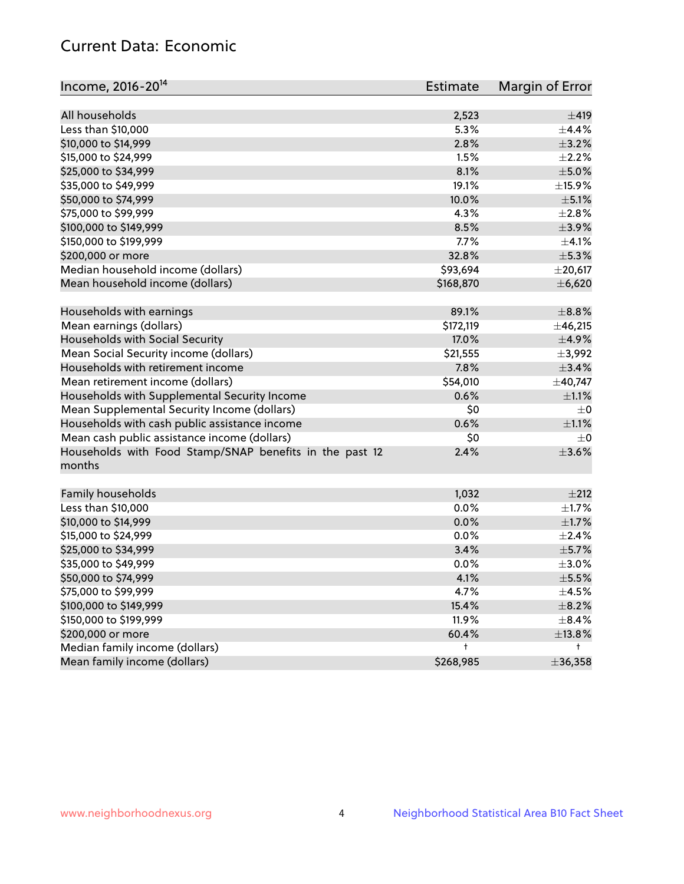## Current Data: Economic

| Income, 2016-20 <sup>14</sup>                           | <b>Estimate</b> | Margin of Error      |
|---------------------------------------------------------|-----------------|----------------------|
| All households                                          |                 | $\pm 419$            |
|                                                         | 2,523           |                      |
| Less than \$10,000                                      | 5.3%            | ±4.4%<br>$\pm$ 3.2%  |
| \$10,000 to \$14,999                                    | 2.8%            |                      |
| \$15,000 to \$24,999                                    | 1.5%            | $\pm 2.2\%$          |
| \$25,000 to \$34,999                                    | 8.1%            | $\pm$ 5.0%           |
| \$35,000 to \$49,999                                    | 19.1%           | $\pm$ 15.9%          |
| \$50,000 to \$74,999                                    | 10.0%           | $\pm$ 5.1%           |
| \$75,000 to \$99,999                                    | 4.3%            | $\pm 2.8\%$          |
| \$100,000 to \$149,999                                  | 8.5%            | $\pm$ 3.9%           |
| \$150,000 to \$199,999                                  | 7.7%            | $\pm 4.1\%$          |
| \$200,000 or more                                       | 32.8%           | $\pm$ 5.3%           |
| Median household income (dollars)                       | \$93,694        | $±$ 20,617           |
| Mean household income (dollars)                         | \$168,870       | ±6,620               |
| Households with earnings                                | 89.1%           | $\pm$ 8.8%           |
| Mean earnings (dollars)                                 | \$172,119       | ±46,215              |
| Households with Social Security                         | 17.0%           | $\pm$ 4.9%           |
| Mean Social Security income (dollars)                   | \$21,555        | ±3,992               |
| Households with retirement income                       | 7.8%            | $\pm$ 3.4%           |
| Mean retirement income (dollars)                        | \$54,010        | ±40,747              |
| Households with Supplemental Security Income            | 0.6%            | $\pm 1.1\%$          |
| Mean Supplemental Security Income (dollars)             | \$0             | $\pm$ 0              |
| Households with cash public assistance income           | 0.6%            | $\pm 1.1\%$          |
| Mean cash public assistance income (dollars)            | \$0             | $\pm$ 0              |
| Households with Food Stamp/SNAP benefits in the past 12 | 2.4%            | $\pm 3.6\%$          |
| months                                                  |                 |                      |
|                                                         |                 |                      |
| Family households                                       | 1,032<br>0.0%   | ±212                 |
| Less than \$10,000                                      |                 | $\pm 1.7\%$<br>±1.7% |
| \$10,000 to \$14,999                                    | 0.0%            |                      |
| \$15,000 to \$24,999                                    | 0.0%            | $\pm 2.4\%$          |
| \$25,000 to \$34,999                                    | 3.4%            | $\pm$ 5.7%           |
| \$35,000 to \$49,999                                    | 0.0%            | $\pm 3.0\%$          |
| \$50,000 to \$74,999                                    | 4.1%            | $\pm 5.5\%$          |
| \$75,000 to \$99,999                                    | 4.7%            | $\pm$ 4.5%           |
| \$100,000 to \$149,999                                  | 15.4%           | $\pm$ 8.2%           |
| \$150,000 to \$199,999                                  | 11.9%           | $\pm$ 8.4%           |
| \$200,000 or more                                       | 60.4%           | ±13.8%               |
| Median family income (dollars)                          | t               | t                    |
| Mean family income (dollars)                            | \$268,985       | ±36,358              |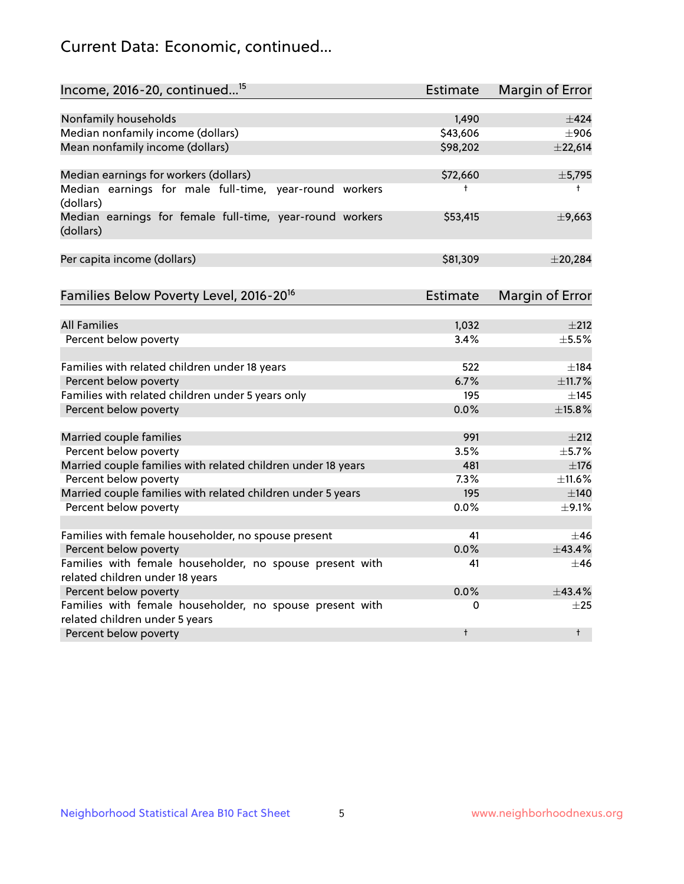## Current Data: Economic, continued...

| Income, 2016-20, continued <sup>15</sup>                                                   | <b>Estimate</b> | Margin of Error        |
|--------------------------------------------------------------------------------------------|-----------------|------------------------|
|                                                                                            |                 |                        |
| Nonfamily households                                                                       | 1,490           | $\pm 424$              |
| Median nonfamily income (dollars)                                                          | \$43,606        | $\pm$ 906              |
| Mean nonfamily income (dollars)                                                            | \$98,202        | ±22,614                |
| Median earnings for workers (dollars)                                                      | \$72,660        | ±5,795                 |
| Median earnings for male full-time, year-round workers<br>(dollars)                        | $\ddagger$      | $^+$                   |
| Median earnings for female full-time, year-round workers<br>(dollars)                      | \$53,415        | ±9,663                 |
| Per capita income (dollars)                                                                | \$81,309        | $±$ 20,284             |
| Families Below Poverty Level, 2016-20 <sup>16</sup>                                        | <b>Estimate</b> | <b>Margin of Error</b> |
|                                                                                            |                 |                        |
| <b>All Families</b>                                                                        | 1,032           | $\pm 212$              |
| Percent below poverty                                                                      | 3.4%            | $\pm$ 5.5%             |
| Families with related children under 18 years                                              | 522             | $\pm$ 184              |
| Percent below poverty                                                                      | 6.7%            | ±11.7%                 |
| Families with related children under 5 years only                                          | 195             | $\pm$ 145              |
| Percent below poverty                                                                      | 0.0%            | ±15.8%                 |
| Married couple families                                                                    | 991             | $\pm 212$              |
| Percent below poverty                                                                      | 3.5%            | ±5.7%                  |
| Married couple families with related children under 18 years                               | 481             | $\pm$ 176              |
| Percent below poverty                                                                      | 7.3%            | ±11.6%                 |
| Married couple families with related children under 5 years                                | 195             | $\pm$ 140              |
| Percent below poverty                                                                      | 0.0%            | $\pm$ 9.1%             |
|                                                                                            |                 |                        |
| Families with female householder, no spouse present                                        | 41              | $\pm$ 46               |
| Percent below poverty                                                                      | 0.0%            | ±43.4%                 |
| Families with female householder, no spouse present with                                   | 41              | $\pm 46$               |
| related children under 18 years                                                            |                 |                        |
| Percent below poverty                                                                      | 0.0%            | $+43.4%$               |
| Families with female householder, no spouse present with<br>related children under 5 years | 0               | $\pm 25$               |
| Percent below poverty                                                                      | $\ddagger$      | $\ddagger$             |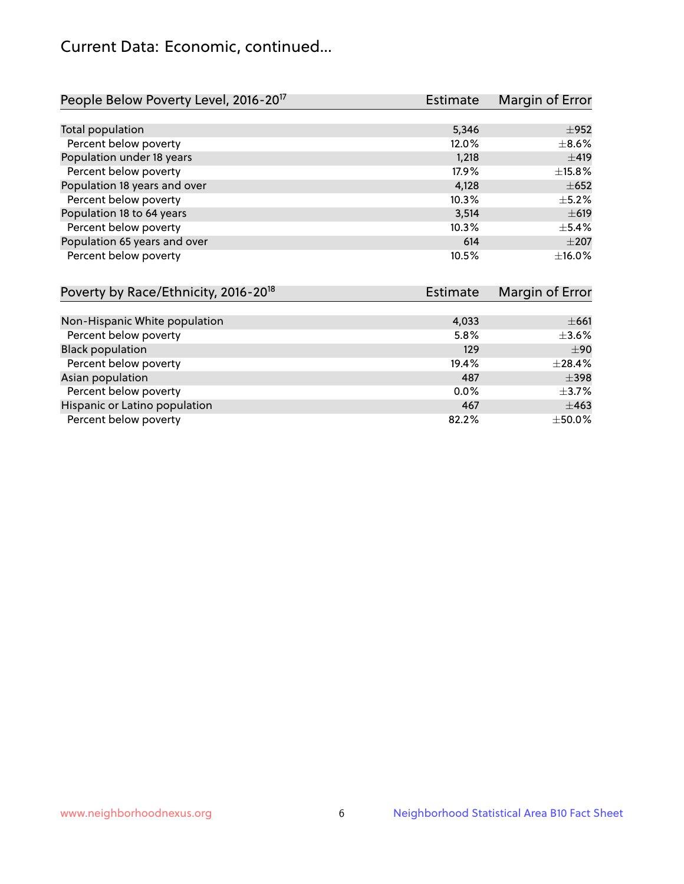## Current Data: Economic, continued...

| People Below Poverty Level, 2016-20 <sup>17</sup> | <b>Estimate</b> | Margin of Error |
|---------------------------------------------------|-----------------|-----------------|
|                                                   |                 |                 |
| Total population                                  | 5,346           | $\pm$ 952       |
| Percent below poverty                             | 12.0%           | $\pm$ 8.6%      |
| Population under 18 years                         | 1,218           | ±419            |
| Percent below poverty                             | 17.9%           | ±15.8%          |
| Population 18 years and over                      | 4,128           | $\pm 652$       |
| Percent below poverty                             | 10.3%           | $\pm$ 5.2%      |
| Population 18 to 64 years                         | 3,514           | $\pm 619$       |
| Percent below poverty                             | 10.3%           | $\pm$ 5.4%      |
| Population 65 years and over                      | 614             | $\pm 207$       |
| Percent below poverty                             | 10.5%           | ±16.0%          |

| Poverty by Race/Ethnicity, 2016-20 <sup>18</sup><br><b>Estimate</b> |       | Margin of Error |  |
|---------------------------------------------------------------------|-------|-----------------|--|
|                                                                     |       |                 |  |
| Non-Hispanic White population                                       | 4,033 | $\pm 661$       |  |
| Percent below poverty                                               | 5.8%  | $\pm$ 3.6%      |  |
| <b>Black population</b>                                             | 129   | $\pm 90$        |  |
| Percent below poverty                                               | 19.4% | ±28.4%          |  |
| Asian population                                                    | 487   | $\pm$ 398       |  |
| Percent below poverty                                               | 0.0%  | $\pm$ 3.7%      |  |
| Hispanic or Latino population                                       | 467   | $\pm 463$       |  |
| Percent below poverty                                               | 82.2% | $\pm$ 50.0%     |  |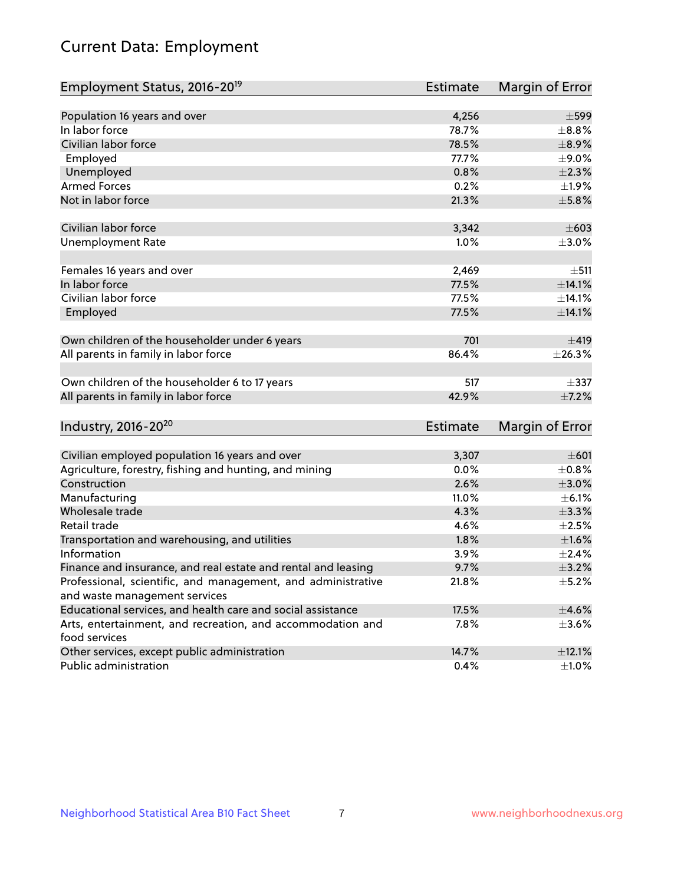# Current Data: Employment

| Employment Status, 2016-20 <sup>19</sup>                      | <b>Estimate</b> | Margin of Error |
|---------------------------------------------------------------|-----------------|-----------------|
|                                                               |                 |                 |
| Population 16 years and over                                  | 4,256           | $\pm$ 599       |
| In labor force                                                | 78.7%           | $\pm$ 8.8%      |
| Civilian labor force                                          | 78.5%           | $\pm$ 8.9%      |
| Employed                                                      | 77.7%           | $\pm$ 9.0%      |
| Unemployed                                                    | 0.8%            | $\pm 2.3\%$     |
| <b>Armed Forces</b>                                           | 0.2%            | ±1.9%           |
| Not in labor force                                            | 21.3%           | $\pm$ 5.8%      |
|                                                               |                 |                 |
| Civilian labor force                                          | 3,342           | $\pm 603$       |
| <b>Unemployment Rate</b>                                      | 1.0%            | $\pm 3.0\%$     |
| Females 16 years and over                                     | 2,469           | ±511            |
| In labor force                                                | 77.5%           | $\pm$ 14.1%     |
| Civilian labor force                                          | 77.5%           | ±14.1%          |
| Employed                                                      | 77.5%           | ±14.1%          |
|                                                               |                 |                 |
| Own children of the householder under 6 years                 | 701             | ±419            |
| All parents in family in labor force                          | 86.4%           | ±26.3%          |
|                                                               |                 |                 |
| Own children of the householder 6 to 17 years                 | 517             | $\pm$ 337       |
| All parents in family in labor force                          | 42.9%           | $\pm$ 7.2%      |
|                                                               |                 |                 |
| Industry, 2016-20 <sup>20</sup>                               | Estimate        | Margin of Error |
|                                                               |                 |                 |
| Civilian employed population 16 years and over                | 3,307           | $\pm 601$       |
| Agriculture, forestry, fishing and hunting, and mining        | 0.0%            | $\pm$ 0.8%      |
| Construction                                                  | 2.6%            | $\pm 3.0\%$     |
| Manufacturing                                                 | 11.0%           | $\pm$ 6.1%      |
| Wholesale trade                                               | 4.3%            | $\pm$ 3.3%      |
| Retail trade                                                  | 4.6%            | $\pm 2.5\%$     |
| Transportation and warehousing, and utilities                 | 1.8%            | $\pm 1.6\%$     |
| Information                                                   | 3.9%            | $\pm 2.4\%$     |
| Finance and insurance, and real estate and rental and leasing | 9.7%            | $\pm$ 3.2%      |
| Professional, scientific, and management, and administrative  | 21.8%           | $\pm$ 5.2%      |
| and waste management services                                 |                 |                 |
| Educational services, and health care and social assistance   | 17.5%           | $\pm 4.6\%$     |
| Arts, entertainment, and recreation, and accommodation and    | $7.8\%$         | $\pm$ 3.6%      |
| food services                                                 |                 |                 |
| Other services, except public administration                  | 14.7%           | ±12.1%          |
| Public administration                                         | 0.4%            | ±1.0%           |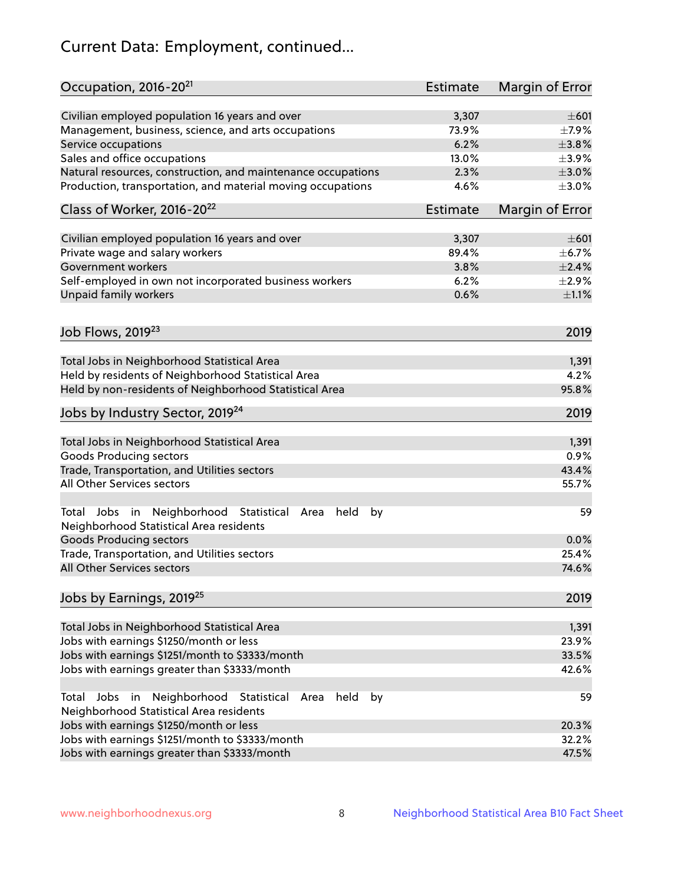# Current Data: Employment, continued...

| Occupation, 2016-20 <sup>21</sup>                                                                       | Estimate        | Margin of Error |
|---------------------------------------------------------------------------------------------------------|-----------------|-----------------|
| Civilian employed population 16 years and over                                                          | 3,307           | $\pm 601$       |
| Management, business, science, and arts occupations                                                     | 73.9%           | $\pm$ 7.9%      |
| Service occupations                                                                                     | 6.2%            | $\pm 3.8\%$     |
| Sales and office occupations                                                                            | 13.0%           | $\pm$ 3.9%      |
| Natural resources, construction, and maintenance occupations                                            | 2.3%            | $\pm 3.0\%$     |
| Production, transportation, and material moving occupations                                             | 4.6%            | $\pm 3.0\%$     |
| Class of Worker, 2016-20 <sup>22</sup>                                                                  | <b>Estimate</b> | Margin of Error |
| Civilian employed population 16 years and over                                                          | 3,307           | $\pm 601$       |
| Private wage and salary workers                                                                         | 89.4%           | $\pm$ 6.7%      |
| Government workers                                                                                      | 3.8%            | $\pm 2.4\%$     |
| Self-employed in own not incorporated business workers                                                  | 6.2%            | $\pm 2.9\%$     |
| Unpaid family workers                                                                                   | 0.6%            | $\pm 1.1\%$     |
|                                                                                                         |                 |                 |
| Job Flows, 2019 <sup>23</sup>                                                                           |                 | 2019            |
| Total Jobs in Neighborhood Statistical Area                                                             |                 | 1,391           |
| Held by residents of Neighborhood Statistical Area                                                      |                 | 4.2%            |
| Held by non-residents of Neighborhood Statistical Area                                                  |                 | 95.8%           |
| Jobs by Industry Sector, 2019 <sup>24</sup>                                                             |                 | 2019            |
| Total Jobs in Neighborhood Statistical Area                                                             |                 | 1,391           |
| <b>Goods Producing sectors</b>                                                                          |                 | 0.9%            |
| Trade, Transportation, and Utilities sectors                                                            |                 | 43.4%           |
| All Other Services sectors                                                                              |                 | 55.7%           |
| Total Jobs in Neighborhood Statistical<br>held<br>by<br>Area<br>Neighborhood Statistical Area residents |                 | 59              |
| <b>Goods Producing sectors</b>                                                                          |                 | 0.0%            |
| Trade, Transportation, and Utilities sectors                                                            |                 | 25.4%           |
| All Other Services sectors                                                                              |                 | 74.6%           |
| Jobs by Earnings, 2019 <sup>25</sup>                                                                    |                 | 2019            |
| Total Jobs in Neighborhood Statistical Area                                                             |                 | 1,391           |
| Jobs with earnings \$1250/month or less                                                                 |                 | 23.9%           |
| Jobs with earnings \$1251/month to \$3333/month                                                         |                 | 33.5%           |
| Jobs with earnings greater than \$3333/month                                                            |                 | 42.6%           |
| Neighborhood Statistical<br>Jobs<br>in<br>held<br>by<br>Total<br>Area                                   |                 | 59              |
| Neighborhood Statistical Area residents<br>Jobs with earnings \$1250/month or less                      |                 | 20.3%           |
| Jobs with earnings \$1251/month to \$3333/month                                                         |                 | 32.2%           |
| Jobs with earnings greater than \$3333/month                                                            |                 | 47.5%           |
|                                                                                                         |                 |                 |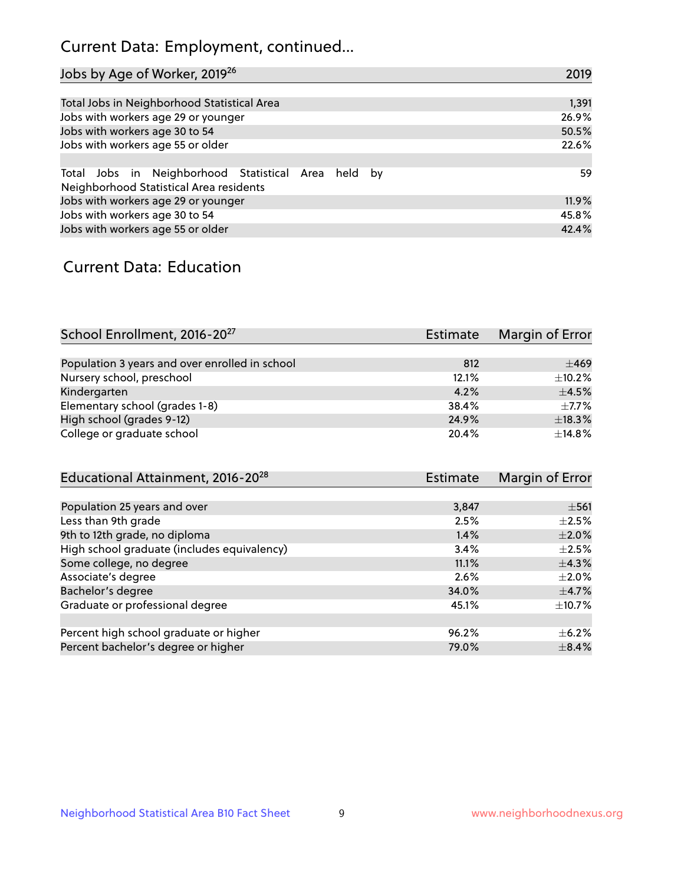## Current Data: Employment, continued...

| Jobs by Age of Worker, 2019 <sup>26</sup>                                                      | 2019  |
|------------------------------------------------------------------------------------------------|-------|
|                                                                                                |       |
| Total Jobs in Neighborhood Statistical Area                                                    | 1,391 |
| Jobs with workers age 29 or younger                                                            | 26.9% |
| Jobs with workers age 30 to 54                                                                 | 50.5% |
| Jobs with workers age 55 or older                                                              | 22.6% |
|                                                                                                |       |
| Total Jobs in Neighborhood Statistical Area held by<br>Neighborhood Statistical Area residents | 59    |
| Jobs with workers age 29 or younger                                                            | 11.9% |
| Jobs with workers age 30 to 54                                                                 | 45.8% |
| Jobs with workers age 55 or older                                                              | 42.4% |

### Current Data: Education

| School Enrollment, 2016-20 <sup>27</sup>       | <b>Estimate</b> | Margin of Error |
|------------------------------------------------|-----------------|-----------------|
|                                                |                 |                 |
| Population 3 years and over enrolled in school | 812             | $\pm 469$       |
| Nursery school, preschool                      | 12.1%           | $\pm$ 10.2%     |
| Kindergarten                                   | 4.2%            | $\pm$ 4.5%      |
| Elementary school (grades 1-8)                 | 38.4%           | $+7.7%$         |
| High school (grades 9-12)                      | 24.9%           | ±18.3%          |
| College or graduate school                     | 20.4%           | ±14.8%          |

| Educational Attainment, 2016-20 <sup>28</sup> | Estimate | Margin of Error |
|-----------------------------------------------|----------|-----------------|
|                                               |          |                 |
| Population 25 years and over                  | 3,847    | $\pm$ 561       |
| Less than 9th grade                           | 2.5%     | $\pm 2.5\%$     |
| 9th to 12th grade, no diploma                 | 1.4%     | $\pm 2.0\%$     |
| High school graduate (includes equivalency)   | 3.4%     | $\pm 2.5\%$     |
| Some college, no degree                       | 11.1%    | $\pm$ 4.3%      |
| Associate's degree                            | 2.6%     | $\pm 2.0\%$     |
| Bachelor's degree                             | 34.0%    | $\pm$ 4.7%      |
| Graduate or professional degree               | 45.1%    | $\pm$ 10.7%     |
|                                               |          |                 |
| Percent high school graduate or higher        | 96.2%    | $\pm$ 6.2%      |
| Percent bachelor's degree or higher           | 79.0%    | $\pm$ 8.4%      |
|                                               |          |                 |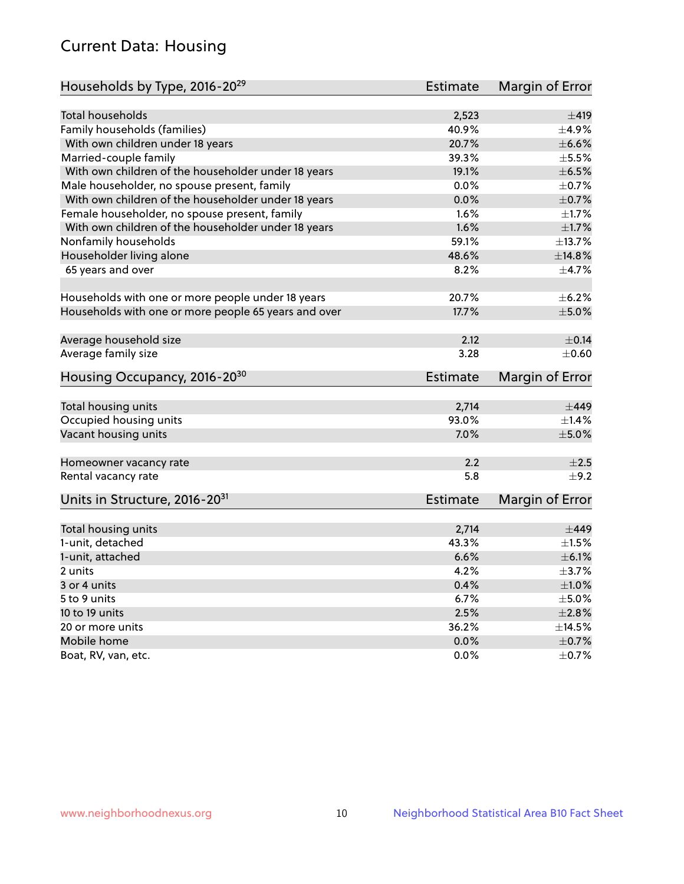## Current Data: Housing

| Households by Type, 2016-20 <sup>29</sup>            | <b>Estimate</b> | Margin of Error |
|------------------------------------------------------|-----------------|-----------------|
|                                                      |                 |                 |
| <b>Total households</b>                              | 2,523           | ±419            |
| Family households (families)                         | 40.9%           | $\pm$ 4.9%      |
| With own children under 18 years                     | 20.7%           | $\pm$ 6.6%      |
| Married-couple family                                | 39.3%           | $\pm$ 5.5%      |
| With own children of the householder under 18 years  | 19.1%           | $\pm$ 6.5%      |
| Male householder, no spouse present, family          | 0.0%            | $\pm$ 0.7%      |
| With own children of the householder under 18 years  | 0.0%            | $\pm$ 0.7%      |
| Female householder, no spouse present, family        | 1.6%            | $\pm 1.7\%$     |
| With own children of the householder under 18 years  | 1.6%            | $\pm1.7\%$      |
| Nonfamily households                                 | 59.1%           | ±13.7%          |
| Householder living alone                             | 48.6%           | ±14.8%          |
| 65 years and over                                    | 8.2%            | $\pm$ 4.7%      |
|                                                      |                 |                 |
| Households with one or more people under 18 years    | 20.7%           | $\pm$ 6.2%      |
| Households with one or more people 65 years and over | 17.7%           | $\pm$ 5.0%      |
|                                                      |                 |                 |
| Average household size                               | 2.12            | $\pm$ 0.14      |
| Average family size                                  | 3.28            | $\pm$ 0.60      |
| Housing Occupancy, 2016-20 <sup>30</sup>             | <b>Estimate</b> | Margin of Error |
| Total housing units                                  | 2,714           | $\pm$ 449       |
| Occupied housing units                               | 93.0%           | $\pm$ 1.4%      |
| Vacant housing units                                 | 7.0%            | $\pm$ 5.0%      |
|                                                      |                 |                 |
| Homeowner vacancy rate                               | 2.2             | ±2.5            |
| Rental vacancy rate                                  | 5.8             | $\pm$ 9.2       |
| Units in Structure, 2016-20 <sup>31</sup>            | <b>Estimate</b> | Margin of Error |
|                                                      |                 |                 |
| Total housing units                                  | 2,714           | $\pm$ 449       |
| 1-unit, detached                                     | 43.3%           | $\pm 1.5\%$     |
| 1-unit, attached                                     | 6.6%            | $\pm$ 6.1%      |
| 2 units                                              | 4.2%            | $\pm$ 3.7%      |
| 3 or 4 units                                         | 0.4%            | $\pm 1.0\%$     |
| 5 to 9 units                                         | 6.7%            | $\pm$ 5.0%      |
| 10 to 19 units                                       | 2.5%            | $\pm 2.8\%$     |
| 20 or more units                                     | 36.2%           | ±14.5%          |
| Mobile home                                          | 0.0%            | $\pm$ 0.7%      |
| Boat, RV, van, etc.                                  | 0.0%            | $\pm$ 0.7%      |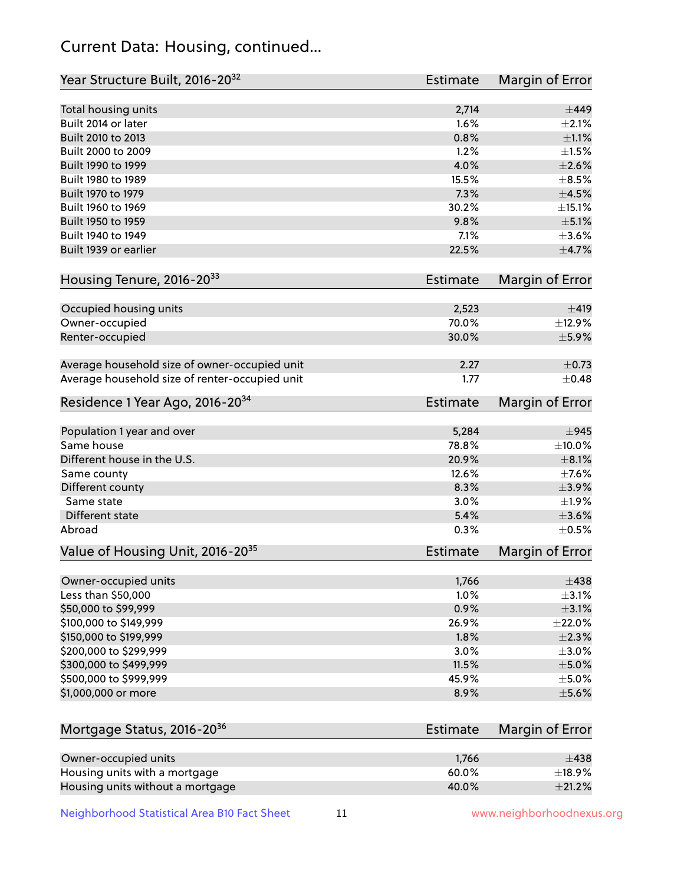## Current Data: Housing, continued...

| Total housing units<br>2,714<br>Built 2014 or later<br>1.6%<br>0.8%<br>Built 2010 to 2013<br>Built 2000 to 2009<br>1.2%<br>Built 1990 to 1999<br>4.0%<br>15.5%<br>Built 1980 to 1989<br>Built 1970 to 1979<br>7.3%<br>Built 1960 to 1969<br>30.2%<br>Built 1950 to 1959<br>9.8%<br>Built 1940 to 1949<br>7.1%<br>Built 1939 or earlier<br>22.5%<br>Housing Tenure, 2016-2033<br>Estimate<br>Occupied housing units<br>2,523<br>Owner-occupied<br>70.0%<br>30.0%<br>Renter-occupied<br>Average household size of owner-occupied unit<br>2.27<br>Average household size of renter-occupied unit<br>1.77<br>Residence 1 Year Ago, 2016-20 <sup>34</sup><br><b>Estimate</b><br>Population 1 year and over<br>5,284<br>$\pm$ 945<br>Same house<br>78.8%<br>$\pm$ 10.0%<br>Different house in the U.S.<br>20.9%<br>$\pm$ 8.1%<br>12.6%<br>Same county<br>Different county<br>8.3%<br>Same state<br>3.0%<br>Different state<br>5.4%<br>Abroad<br>0.3%<br>Value of Housing Unit, 2016-20 <sup>35</sup><br><b>Estimate</b><br>1,766<br>Owner-occupied units<br>Less than \$50,000<br>1.0%<br>\$50,000 to \$99,999<br>0.9%<br>\$100,000 to \$149,999<br>26.9%<br>\$150,000 to \$199,999<br>1.8%<br>\$200,000 to \$299,999<br>3.0%<br>\$300,000 to \$499,999<br>11.5%<br>\$500,000 to \$999,999<br>45.9%<br>\$1,000,000 or more<br>8.9%<br>Mortgage Status, 2016-20 <sup>36</sup><br><b>Estimate</b><br>Owner-occupied units<br>1,766<br>$\pm$ 438<br>Housing units with a mortgage<br>60.0% | Year Structure Built, 2016-20 <sup>32</sup> | Estimate | <b>Margin of Error</b> |
|-----------------------------------------------------------------------------------------------------------------------------------------------------------------------------------------------------------------------------------------------------------------------------------------------------------------------------------------------------------------------------------------------------------------------------------------------------------------------------------------------------------------------------------------------------------------------------------------------------------------------------------------------------------------------------------------------------------------------------------------------------------------------------------------------------------------------------------------------------------------------------------------------------------------------------------------------------------------------------------------------------------------------------------------------------------------------------------------------------------------------------------------------------------------------------------------------------------------------------------------------------------------------------------------------------------------------------------------------------------------------------------------------------------------------------------------------------------------------------------|---------------------------------------------|----------|------------------------|
|                                                                                                                                                                                                                                                                                                                                                                                                                                                                                                                                                                                                                                                                                                                                                                                                                                                                                                                                                                                                                                                                                                                                                                                                                                                                                                                                                                                                                                                                                   |                                             |          | $\pm$ 449              |
|                                                                                                                                                                                                                                                                                                                                                                                                                                                                                                                                                                                                                                                                                                                                                                                                                                                                                                                                                                                                                                                                                                                                                                                                                                                                                                                                                                                                                                                                                   |                                             |          | $\pm 2.1\%$            |
|                                                                                                                                                                                                                                                                                                                                                                                                                                                                                                                                                                                                                                                                                                                                                                                                                                                                                                                                                                                                                                                                                                                                                                                                                                                                                                                                                                                                                                                                                   |                                             |          | $\pm 1.1\%$            |
|                                                                                                                                                                                                                                                                                                                                                                                                                                                                                                                                                                                                                                                                                                                                                                                                                                                                                                                                                                                                                                                                                                                                                                                                                                                                                                                                                                                                                                                                                   |                                             |          | $\pm1.5\%$             |
|                                                                                                                                                                                                                                                                                                                                                                                                                                                                                                                                                                                                                                                                                                                                                                                                                                                                                                                                                                                                                                                                                                                                                                                                                                                                                                                                                                                                                                                                                   |                                             |          | $\pm 2.6\%$            |
|                                                                                                                                                                                                                                                                                                                                                                                                                                                                                                                                                                                                                                                                                                                                                                                                                                                                                                                                                                                                                                                                                                                                                                                                                                                                                                                                                                                                                                                                                   |                                             |          | $\pm$ 8.5%             |
|                                                                                                                                                                                                                                                                                                                                                                                                                                                                                                                                                                                                                                                                                                                                                                                                                                                                                                                                                                                                                                                                                                                                                                                                                                                                                                                                                                                                                                                                                   |                                             |          | $\pm$ 4.5%             |
|                                                                                                                                                                                                                                                                                                                                                                                                                                                                                                                                                                                                                                                                                                                                                                                                                                                                                                                                                                                                                                                                                                                                                                                                                                                                                                                                                                                                                                                                                   |                                             |          | ±15.1%                 |
|                                                                                                                                                                                                                                                                                                                                                                                                                                                                                                                                                                                                                                                                                                                                                                                                                                                                                                                                                                                                                                                                                                                                                                                                                                                                                                                                                                                                                                                                                   |                                             |          | $\pm$ 5.1%             |
|                                                                                                                                                                                                                                                                                                                                                                                                                                                                                                                                                                                                                                                                                                                                                                                                                                                                                                                                                                                                                                                                                                                                                                                                                                                                                                                                                                                                                                                                                   |                                             |          | $\pm 3.6\%$            |
|                                                                                                                                                                                                                                                                                                                                                                                                                                                                                                                                                                                                                                                                                                                                                                                                                                                                                                                                                                                                                                                                                                                                                                                                                                                                                                                                                                                                                                                                                   |                                             |          | $\pm$ 4.7%             |
|                                                                                                                                                                                                                                                                                                                                                                                                                                                                                                                                                                                                                                                                                                                                                                                                                                                                                                                                                                                                                                                                                                                                                                                                                                                                                                                                                                                                                                                                                   |                                             |          | Margin of Error        |
|                                                                                                                                                                                                                                                                                                                                                                                                                                                                                                                                                                                                                                                                                                                                                                                                                                                                                                                                                                                                                                                                                                                                                                                                                                                                                                                                                                                                                                                                                   |                                             |          | ±419                   |
|                                                                                                                                                                                                                                                                                                                                                                                                                                                                                                                                                                                                                                                                                                                                                                                                                                                                                                                                                                                                                                                                                                                                                                                                                                                                                                                                                                                                                                                                                   |                                             |          | ±12.9%                 |
|                                                                                                                                                                                                                                                                                                                                                                                                                                                                                                                                                                                                                                                                                                                                                                                                                                                                                                                                                                                                                                                                                                                                                                                                                                                                                                                                                                                                                                                                                   |                                             |          | $\pm$ 5.9%             |
|                                                                                                                                                                                                                                                                                                                                                                                                                                                                                                                                                                                                                                                                                                                                                                                                                                                                                                                                                                                                                                                                                                                                                                                                                                                                                                                                                                                                                                                                                   |                                             |          | $\pm$ 0.73             |
|                                                                                                                                                                                                                                                                                                                                                                                                                                                                                                                                                                                                                                                                                                                                                                                                                                                                                                                                                                                                                                                                                                                                                                                                                                                                                                                                                                                                                                                                                   |                                             |          | $\pm$ 0.48             |
|                                                                                                                                                                                                                                                                                                                                                                                                                                                                                                                                                                                                                                                                                                                                                                                                                                                                                                                                                                                                                                                                                                                                                                                                                                                                                                                                                                                                                                                                                   |                                             |          | <b>Margin of Error</b> |
|                                                                                                                                                                                                                                                                                                                                                                                                                                                                                                                                                                                                                                                                                                                                                                                                                                                                                                                                                                                                                                                                                                                                                                                                                                                                                                                                                                                                                                                                                   |                                             |          |                        |
|                                                                                                                                                                                                                                                                                                                                                                                                                                                                                                                                                                                                                                                                                                                                                                                                                                                                                                                                                                                                                                                                                                                                                                                                                                                                                                                                                                                                                                                                                   |                                             |          |                        |
|                                                                                                                                                                                                                                                                                                                                                                                                                                                                                                                                                                                                                                                                                                                                                                                                                                                                                                                                                                                                                                                                                                                                                                                                                                                                                                                                                                                                                                                                                   |                                             |          |                        |
|                                                                                                                                                                                                                                                                                                                                                                                                                                                                                                                                                                                                                                                                                                                                                                                                                                                                                                                                                                                                                                                                                                                                                                                                                                                                                                                                                                                                                                                                                   |                                             |          | $\pm$ 7.6%             |
|                                                                                                                                                                                                                                                                                                                                                                                                                                                                                                                                                                                                                                                                                                                                                                                                                                                                                                                                                                                                                                                                                                                                                                                                                                                                                                                                                                                                                                                                                   |                                             |          | $\pm$ 3.9%             |
|                                                                                                                                                                                                                                                                                                                                                                                                                                                                                                                                                                                                                                                                                                                                                                                                                                                                                                                                                                                                                                                                                                                                                                                                                                                                                                                                                                                                                                                                                   |                                             |          | ±1.9%                  |
|                                                                                                                                                                                                                                                                                                                                                                                                                                                                                                                                                                                                                                                                                                                                                                                                                                                                                                                                                                                                                                                                                                                                                                                                                                                                                                                                                                                                                                                                                   |                                             |          | $\pm 3.6\%$            |
|                                                                                                                                                                                                                                                                                                                                                                                                                                                                                                                                                                                                                                                                                                                                                                                                                                                                                                                                                                                                                                                                                                                                                                                                                                                                                                                                                                                                                                                                                   |                                             |          | $\pm$ 0.5%             |
|                                                                                                                                                                                                                                                                                                                                                                                                                                                                                                                                                                                                                                                                                                                                                                                                                                                                                                                                                                                                                                                                                                                                                                                                                                                                                                                                                                                                                                                                                   |                                             |          | Margin of Error        |
|                                                                                                                                                                                                                                                                                                                                                                                                                                                                                                                                                                                                                                                                                                                                                                                                                                                                                                                                                                                                                                                                                                                                                                                                                                                                                                                                                                                                                                                                                   |                                             |          | $\pm$ 438              |
|                                                                                                                                                                                                                                                                                                                                                                                                                                                                                                                                                                                                                                                                                                                                                                                                                                                                                                                                                                                                                                                                                                                                                                                                                                                                                                                                                                                                                                                                                   |                                             |          | $\pm$ 3.1%             |
|                                                                                                                                                                                                                                                                                                                                                                                                                                                                                                                                                                                                                                                                                                                                                                                                                                                                                                                                                                                                                                                                                                                                                                                                                                                                                                                                                                                                                                                                                   |                                             |          | $\pm$ 3.1%             |
|                                                                                                                                                                                                                                                                                                                                                                                                                                                                                                                                                                                                                                                                                                                                                                                                                                                                                                                                                                                                                                                                                                                                                                                                                                                                                                                                                                                                                                                                                   |                                             |          | ±22.0%                 |
|                                                                                                                                                                                                                                                                                                                                                                                                                                                                                                                                                                                                                                                                                                                                                                                                                                                                                                                                                                                                                                                                                                                                                                                                                                                                                                                                                                                                                                                                                   |                                             |          | $\pm 2.3\%$            |
|                                                                                                                                                                                                                                                                                                                                                                                                                                                                                                                                                                                                                                                                                                                                                                                                                                                                                                                                                                                                                                                                                                                                                                                                                                                                                                                                                                                                                                                                                   |                                             |          | $\pm 3.0\%$            |
|                                                                                                                                                                                                                                                                                                                                                                                                                                                                                                                                                                                                                                                                                                                                                                                                                                                                                                                                                                                                                                                                                                                                                                                                                                                                                                                                                                                                                                                                                   |                                             |          | $\pm$ 5.0%             |
|                                                                                                                                                                                                                                                                                                                                                                                                                                                                                                                                                                                                                                                                                                                                                                                                                                                                                                                                                                                                                                                                                                                                                                                                                                                                                                                                                                                                                                                                                   |                                             |          | $\pm$ 5.0%             |
|                                                                                                                                                                                                                                                                                                                                                                                                                                                                                                                                                                                                                                                                                                                                                                                                                                                                                                                                                                                                                                                                                                                                                                                                                                                                                                                                                                                                                                                                                   |                                             |          | $\pm$ 5.6%             |
|                                                                                                                                                                                                                                                                                                                                                                                                                                                                                                                                                                                                                                                                                                                                                                                                                                                                                                                                                                                                                                                                                                                                                                                                                                                                                                                                                                                                                                                                                   |                                             |          | Margin of Error        |
|                                                                                                                                                                                                                                                                                                                                                                                                                                                                                                                                                                                                                                                                                                                                                                                                                                                                                                                                                                                                                                                                                                                                                                                                                                                                                                                                                                                                                                                                                   |                                             |          |                        |
|                                                                                                                                                                                                                                                                                                                                                                                                                                                                                                                                                                                                                                                                                                                                                                                                                                                                                                                                                                                                                                                                                                                                                                                                                                                                                                                                                                                                                                                                                   |                                             |          | ±18.9%                 |

Housing units without a mortgage  $\pm 21.2\%$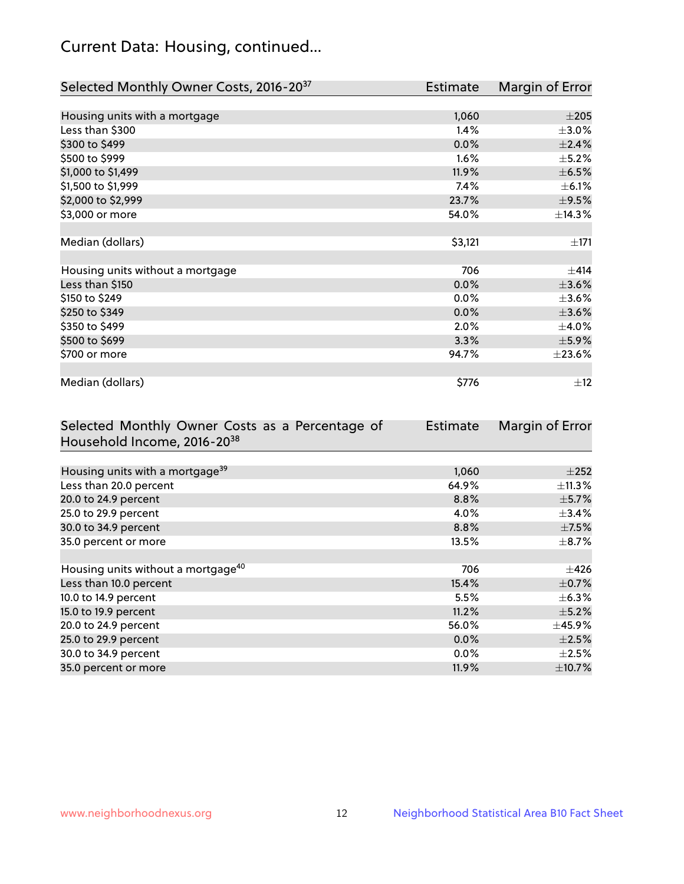## Current Data: Housing, continued...

| Selected Monthly Owner Costs, 2016-20 <sup>37</sup> | <b>Estimate</b> | Margin of Error |
|-----------------------------------------------------|-----------------|-----------------|
|                                                     |                 |                 |
| Housing units with a mortgage                       | 1,060           | $\pm 205$       |
| Less than \$300                                     | 1.4%            | $\pm 3.0\%$     |
| \$300 to \$499                                      | 0.0%            | ±2.4%           |
| \$500 to \$999                                      | $1.6\%$         | $\pm$ 5.2%      |
| \$1,000 to \$1,499                                  | 11.9%           | $\pm$ 6.5%      |
| \$1,500 to \$1,999                                  | 7.4%            | $\pm$ 6.1%      |
| \$2,000 to \$2,999                                  | 23.7%           | $\pm$ 9.5%      |
| \$3,000 or more                                     | 54.0%           | ±14.3%          |
|                                                     |                 |                 |
| Median (dollars)                                    | \$3,121         | $\pm 171$       |
|                                                     |                 |                 |
| Housing units without a mortgage                    | 706             | ±414            |
| Less than \$150                                     | 0.0%            | $\pm$ 3.6%      |
| \$150 to \$249                                      | $0.0\%$         | $\pm 3.6\%$     |
| \$250 to \$349                                      | 0.0%            | $\pm 3.6\%$     |
| \$350 to \$499                                      | 2.0%            | $\pm$ 4.0%      |
| \$500 to \$699                                      | 3.3%            | $\pm$ 5.9%      |
| \$700 or more                                       | 94.7%           | $\pm 23.6\%$    |
|                                                     |                 |                 |
| Median (dollars)                                    | \$776           | ±12             |

| Selected Monthly Owner Costs as a Percentage of | Estimate | Margin of Error |
|-------------------------------------------------|----------|-----------------|
| Household Income, 2016-20 <sup>38</sup>         |          |                 |
|                                                 |          |                 |
| Housing units with a mortgage <sup>39</sup>     | 1,060    | $\pm 252$       |
| Less than 20.0 percent                          | 64.9%    | $\pm$ 11.3%     |
| 20.0 to 24.9 percent                            | 8.8%     | $\pm$ 5.7%      |
| 25.0 to 29.9 percent                            | 4.0%     | $\pm$ 3.4%      |
| 30.0 to 34.9 percent                            | 8.8%     | $\pm$ 7.5%      |
| 35.0 percent or more                            | 13.5%    | $\pm$ 8.7%      |
|                                                 |          |                 |
| Housing units without a mortgage <sup>40</sup>  | 706      | $\pm 426$       |
| Less than 10.0 percent                          | 15.4%    | $\pm$ 0.7%      |
| 10.0 to 14.9 percent                            | 5.5%     | $\pm$ 6.3%      |
| 15.0 to 19.9 percent                            | 11.2%    | $\pm$ 5.2%      |
| 20.0 to 24.9 percent                            | 56.0%    | $\pm$ 45.9%     |
| 25.0 to 29.9 percent                            | $0.0\%$  | $\pm 2.5\%$     |
| 30.0 to 34.9 percent                            | $0.0\%$  | $\pm 2.5\%$     |
| 35.0 percent or more                            | 11.9%    | $\pm$ 10.7%     |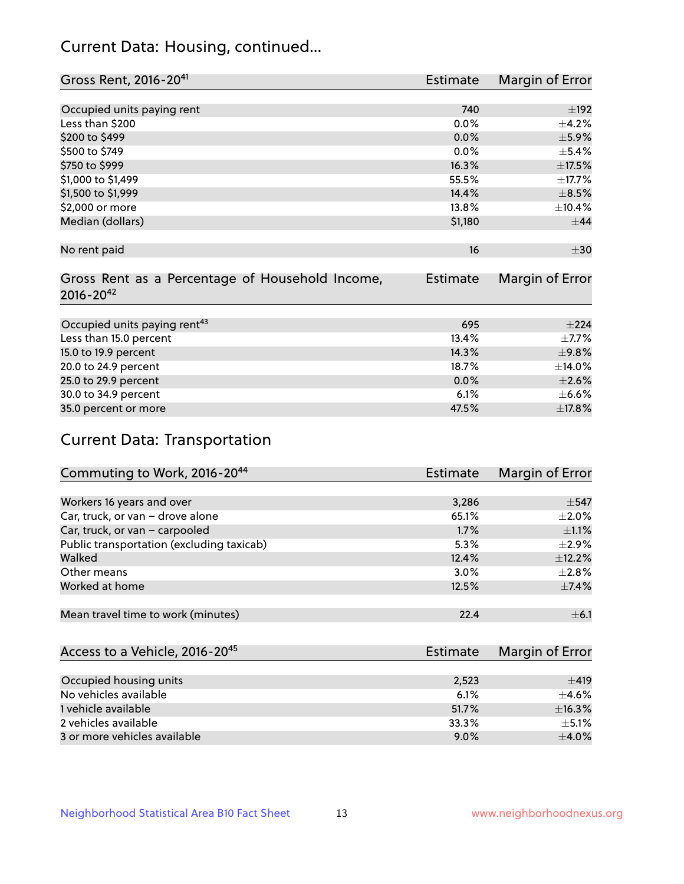## Current Data: Housing, continued...

| Gross Rent, 2016-20 <sup>41</sup>               | <b>Estimate</b> | Margin of Error |
|-------------------------------------------------|-----------------|-----------------|
|                                                 |                 |                 |
| Occupied units paying rent                      | 740             | $\pm$ 192       |
| Less than \$200                                 | 0.0%            | $\pm$ 4.2%      |
| \$200 to \$499                                  | 0.0%            | $\pm$ 5.9%      |
| \$500 to \$749                                  | 0.0%            | $\pm$ 5.4%      |
| \$750 to \$999                                  | 16.3%           | $\pm$ 17.5%     |
| \$1,000 to \$1,499                              | 55.5%           | ±17.7%          |
| \$1,500 to \$1,999                              | 14.4%           | $\pm$ 8.5%      |
| \$2,000 or more                                 | 13.8%           | ±10.4%          |
| Median (dollars)                                | \$1,180         | $\pm$ 44        |
|                                                 |                 |                 |
| No rent paid                                    | 16              | $\pm$ 30        |
|                                                 |                 |                 |
| Gross Rent as a Percentage of Household Income, | <b>Estimate</b> | Margin of Error |
| $2016 - 20^{42}$                                |                 |                 |
|                                                 |                 |                 |
| Occupied units paying rent <sup>43</sup>        | 695             | ±224            |
| Less than 15.0 percent                          | 13.4%           | $\pm$ 7.7%      |
| 15.0 to 19.9 percent                            | 14.3%           | $\pm$ 9.8%      |
| 20.0 to 24.9 percent                            | 18.7%           | ±14.0%          |
| 25.0 to 29.9 percent                            | 0.0%            | $\pm 2.6\%$     |
| 30.0 to 34.9 percent                            | 6.1%            | $\pm$ 6.6%      |
| 35.0 percent or more                            | 47.5%           | ±17.8%          |

# Current Data: Transportation

| Commuting to Work, 2016-20 <sup>44</sup>  | <b>Estimate</b> | <b>Margin of Error</b> |
|-------------------------------------------|-----------------|------------------------|
|                                           |                 |                        |
| Workers 16 years and over                 | 3,286           | $\pm$ 547              |
| Car, truck, or van - drove alone          | 65.1%           | $\pm 2.0\%$            |
| Car, truck, or van - carpooled            | 1.7%            | $\pm 1.1\%$            |
| Public transportation (excluding taxicab) | 5.3%            | $\pm 2.9\%$            |
| Walked                                    | 12.4%           | ±12.2%                 |
| Other means                               | 3.0%            | $\pm 2.8\%$            |
| Worked at home                            | 12.5%           | $\pm$ 7.4%             |
|                                           |                 |                        |
| Mean travel time to work (minutes)        | 22.4            | $\pm$ 6.1              |

| Access to a Vehicle, 2016-20 <sup>45</sup> | Estimate | Margin of Error |
|--------------------------------------------|----------|-----------------|
|                                            |          |                 |
| Occupied housing units                     | 2,523    | ±419            |
| No vehicles available                      | 6.1%     | $+4.6%$         |
| 1 vehicle available                        | 51.7%    | ±16.3%          |
| 2 vehicles available                       | 33.3%    | $+5.1%$         |
| 3 or more vehicles available               | $9.0\%$  | $+4.0%$         |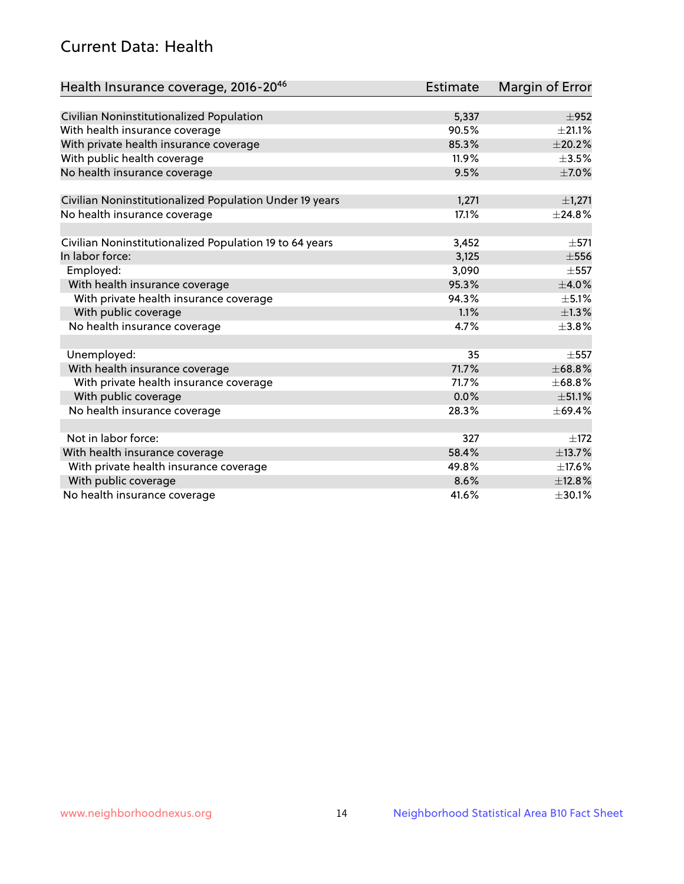## Current Data: Health

| Health Insurance coverage, 2016-2046                    | <b>Estimate</b> | Margin of Error |
|---------------------------------------------------------|-----------------|-----------------|
|                                                         |                 |                 |
| Civilian Noninstitutionalized Population                | 5,337           | $\pm$ 952       |
| With health insurance coverage                          | 90.5%           | $\pm 21.1\%$    |
| With private health insurance coverage                  | 85.3%           | $\pm 20.2\%$    |
| With public health coverage                             | 11.9%           | $\pm$ 3.5%      |
| No health insurance coverage                            | 9.5%            | $\pm$ 7.0%      |
| Civilian Noninstitutionalized Population Under 19 years | 1,271           | ±1,271          |
| No health insurance coverage                            | 17.1%           | ±24.8%          |
|                                                         |                 |                 |
| Civilian Noninstitutionalized Population 19 to 64 years | 3,452           | $\pm$ 571       |
| In labor force:                                         | 3,125           | $\pm$ 556       |
| Employed:                                               | 3,090           | $\pm$ 557       |
| With health insurance coverage                          | 95.3%           | $\pm$ 4.0%      |
| With private health insurance coverage                  | 94.3%           | $\pm$ 5.1%      |
| With public coverage                                    | 1.1%            | $\pm$ 1.3%      |
| No health insurance coverage                            | 4.7%            | ±3.8%           |
|                                                         |                 |                 |
| Unemployed:                                             | 35              | $\pm$ 557       |
| With health insurance coverage                          | 71.7%           | ±68.8%          |
| With private health insurance coverage                  | 71.7%           | ±68.8%          |
| With public coverage                                    | 0.0%            | ±51.1%          |
| No health insurance coverage                            | 28.3%           | ±69.4%          |
|                                                         |                 |                 |
| Not in labor force:                                     | 327             | $\pm$ 172       |
| With health insurance coverage                          | 58.4%           | ±13.7%          |
| With private health insurance coverage                  | 49.8%           | $\pm$ 17.6%     |
| With public coverage                                    | 8.6%            | ±12.8%          |
| No health insurance coverage                            | 41.6%           | ±30.1%          |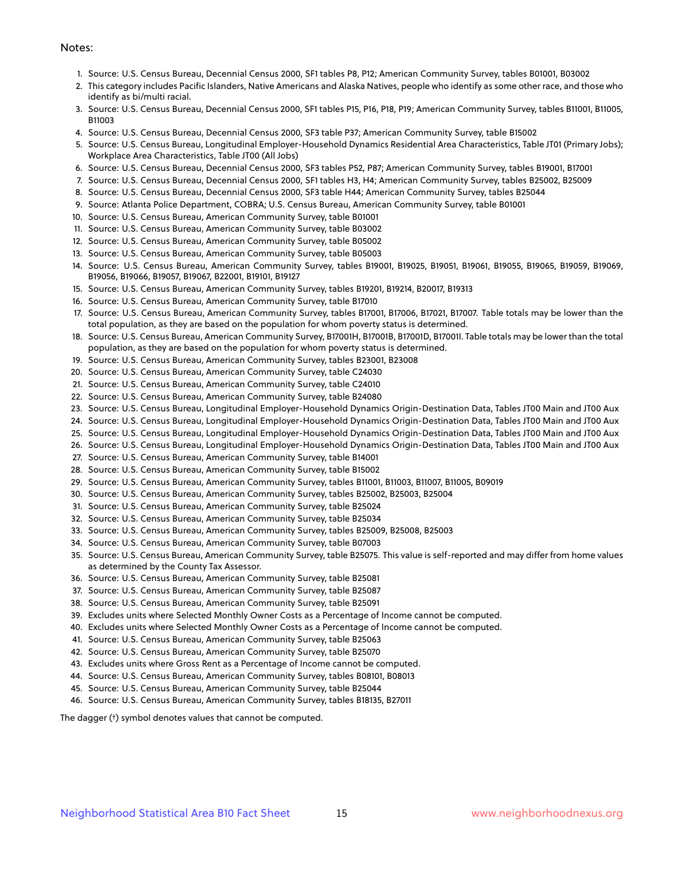#### Notes:

- 1. Source: U.S. Census Bureau, Decennial Census 2000, SF1 tables P8, P12; American Community Survey, tables B01001, B03002
- 2. This category includes Pacific Islanders, Native Americans and Alaska Natives, people who identify as some other race, and those who identify as bi/multi racial.
- 3. Source: U.S. Census Bureau, Decennial Census 2000, SF1 tables P15, P16, P18, P19; American Community Survey, tables B11001, B11005, B11003
- 4. Source: U.S. Census Bureau, Decennial Census 2000, SF3 table P37; American Community Survey, table B15002
- 5. Source: U.S. Census Bureau, Longitudinal Employer-Household Dynamics Residential Area Characteristics, Table JT01 (Primary Jobs); Workplace Area Characteristics, Table JT00 (All Jobs)
- 6. Source: U.S. Census Bureau, Decennial Census 2000, SF3 tables P52, P87; American Community Survey, tables B19001, B17001
- 7. Source: U.S. Census Bureau, Decennial Census 2000, SF1 tables H3, H4; American Community Survey, tables B25002, B25009
- 8. Source: U.S. Census Bureau, Decennial Census 2000, SF3 table H44; American Community Survey, tables B25044
- 9. Source: Atlanta Police Department, COBRA; U.S. Census Bureau, American Community Survey, table B01001
- 10. Source: U.S. Census Bureau, American Community Survey, table B01001
- 11. Source: U.S. Census Bureau, American Community Survey, table B03002
- 12. Source: U.S. Census Bureau, American Community Survey, table B05002
- 13. Source: U.S. Census Bureau, American Community Survey, table B05003
- 14. Source: U.S. Census Bureau, American Community Survey, tables B19001, B19025, B19051, B19061, B19055, B19065, B19059, B19069, B19056, B19066, B19057, B19067, B22001, B19101, B19127
- 15. Source: U.S. Census Bureau, American Community Survey, tables B19201, B19214, B20017, B19313
- 16. Source: U.S. Census Bureau, American Community Survey, table B17010
- 17. Source: U.S. Census Bureau, American Community Survey, tables B17001, B17006, B17021, B17007. Table totals may be lower than the total population, as they are based on the population for whom poverty status is determined.
- 18. Source: U.S. Census Bureau, American Community Survey, B17001H, B17001B, B17001D, B17001I. Table totals may be lower than the total population, as they are based on the population for whom poverty status is determined.
- 19. Source: U.S. Census Bureau, American Community Survey, tables B23001, B23008
- 20. Source: U.S. Census Bureau, American Community Survey, table C24030
- 21. Source: U.S. Census Bureau, American Community Survey, table C24010
- 22. Source: U.S. Census Bureau, American Community Survey, table B24080
- 23. Source: U.S. Census Bureau, Longitudinal Employer-Household Dynamics Origin-Destination Data, Tables JT00 Main and JT00 Aux
- 24. Source: U.S. Census Bureau, Longitudinal Employer-Household Dynamics Origin-Destination Data, Tables JT00 Main and JT00 Aux
- 25. Source: U.S. Census Bureau, Longitudinal Employer-Household Dynamics Origin-Destination Data, Tables JT00 Main and JT00 Aux
- 26. Source: U.S. Census Bureau, Longitudinal Employer-Household Dynamics Origin-Destination Data, Tables JT00 Main and JT00 Aux
- 27. Source: U.S. Census Bureau, American Community Survey, table B14001
- 28. Source: U.S. Census Bureau, American Community Survey, table B15002
- 29. Source: U.S. Census Bureau, American Community Survey, tables B11001, B11003, B11007, B11005, B09019
- 30. Source: U.S. Census Bureau, American Community Survey, tables B25002, B25003, B25004
- 31. Source: U.S. Census Bureau, American Community Survey, table B25024
- 32. Source: U.S. Census Bureau, American Community Survey, table B25034
- 33. Source: U.S. Census Bureau, American Community Survey, tables B25009, B25008, B25003
- 34. Source: U.S. Census Bureau, American Community Survey, table B07003
- 35. Source: U.S. Census Bureau, American Community Survey, table B25075. This value is self-reported and may differ from home values as determined by the County Tax Assessor.
- 36. Source: U.S. Census Bureau, American Community Survey, table B25081
- 37. Source: U.S. Census Bureau, American Community Survey, table B25087
- 38. Source: U.S. Census Bureau, American Community Survey, table B25091
- 39. Excludes units where Selected Monthly Owner Costs as a Percentage of Income cannot be computed.
- 40. Excludes units where Selected Monthly Owner Costs as a Percentage of Income cannot be computed.
- 41. Source: U.S. Census Bureau, American Community Survey, table B25063
- 42. Source: U.S. Census Bureau, American Community Survey, table B25070
- 43. Excludes units where Gross Rent as a Percentage of Income cannot be computed.
- 44. Source: U.S. Census Bureau, American Community Survey, tables B08101, B08013
- 45. Source: U.S. Census Bureau, American Community Survey, table B25044
- 46. Source: U.S. Census Bureau, American Community Survey, tables B18135, B27011

The dagger (†) symbol denotes values that cannot be computed.